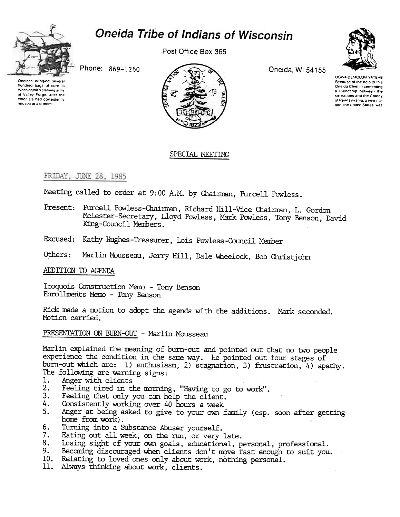

# **Oneida Tribe of Indians of Wisconsin**

Post Office Box 365

Phone: 869-1260

Oneidas bringing hundred bags of corn to Washington's starving army at Valley Forge, after the colonists had consistently refused to aid them



Oneida, WI 54155



**UGWA DEMOLUM YATEHE** Because of the help of this Oneida Chief in cementing a friendship between the six nations and the Colony of Pennsylvania, a new nation, the United States, was

# SPECIAL MEETING

# FRIDAY, JUNE 28, 1985

Meeting called to order at 9:00 A.M. by Chairman, Purcell Powless.

- Present: Purcell Powless-Chairman, Richard Hill-Vice Chairman, L. Gordon McLester-Secretary, Lloyd Powless, Mark Powless, Tony Benson, David King-Council Members.
- Excused: Kathy Hughes-Treasurer, Lois Powless-Council Member

Marlin Mousseau, Jerry Hill, Dale Wheelock, Bob Christjohn Others:

ADDITION TO AGENDA

Iroquois Construction Memo - Tony Benson Enrollments Memo - Tony Benson

Rick made a motion to adopt the agenda with the additions. Mark seconded. Motion carried.

PRESENTATION ON BURN-OUT - Marlin Mousseau

Marlin explained the meaning of burn-out and pointed out that no two people experience the condition in the same way. He pointed out four stages of burn-out which are: 1) enthusiasm, 2) stagnation, 3) frustration, 4) apathy. The following are warning signs:

- Anger with clients 1.
- Feeling tired in the morning, "Having to go to work".<br>Feeling that only you can help the client.  $2.$
- $3.$
- 4. Consistently working over 40 hours a week
- Anger at being asked to give to your own family (esp. soon after getting  $5.$ home from work).
- Turning into a Substance Abuser yourself. 6.
- Eating out all week, on the run, or very late. 7.
- Losing sight of your own goals, educational, personal, professional. 8.
- 9. Becoming discouraged when clients don't move fast enough to suit you.
- 10. Relating to loved ones only about work, nothing personal.
- 11. Always thinking about work, clients.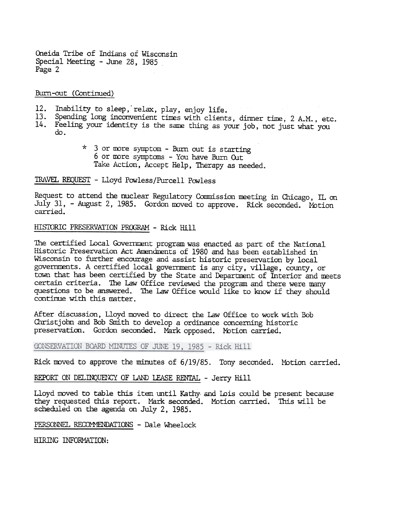Oneida Tribe of Indians or Wisconsin Special Meeting - June 28, 1985 Page 2

Burn-out (Continued)

- 12. Inability to sleep, relax, play, enjoy life.
- 13. Spending long inconvenient times with clients, dinner time, 2 A.M., etc.
- 14. Feeling your identity is the same thing as your job, not just what you do.
	- \* 3 or more symptom Burn out is starti 6 or more symptoms - You have Burn Out Take Action, Accept Help, Therapy as needed.

TRAVEL REQUEST -Lloyd Powless/Purcell Powless

Request to attend the nuclear Regulatory Commission meeting in Chicago, IL on July 31, - August 2, 1985. Gordon moved to approve. Rick seconded. Motion carried.

### HISTORIC PRESERVATION PROGRAM - Rick Hill

The certified Local Government program was enacted as part of the National Historic Preservation Act Amendments of 1980 and has been established in' Wisconsin to further encourage and assist historic preservation by local governments. A certified local government is any city, village, county, or town that has been certified by the State and Department of Interior and meets certain criteria. The Law Office reviewed the program and there were many questions to be answered. The law Office would like to know if they should continue with this matter.

After discussion, Lloyd moved to direct the Law Office to work with Bob Christjohn and Bob Smith to develop a ordinance concerning historic preservation. Gordon seconded. Mark opposed. Motion carried.

CONSERVATION BOARD MINUTES OF JUNE 19, 1985 - Rick Hill

Rick moved to approve the minutes of 6/19/85. Tony seconded. Motion carried.

REPORT ON DELINQUENCY OF LAND LEASE RENTAL - Jerry Hill

Lloyd moved to table this item until Kathy- and Lois could be present because they requested this report. Mark seconded.. Motion carried. This will be scheduled on the agenda on July 2, 1985.

PERSONNEL RECOMMENDATIONS - Dale Wheelock

HIRING INFORMATION: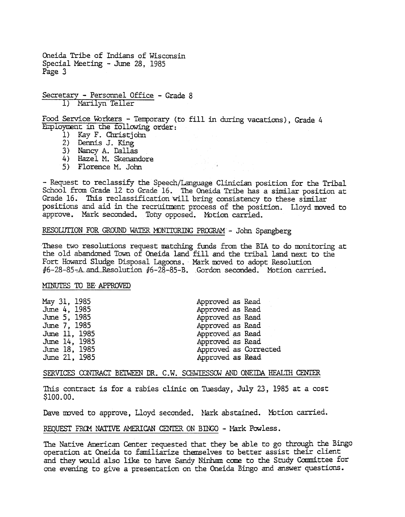Oneida Tribe of Indians of Wisconsin Special Meeting -June 28, 1985 Page 3

Secretary - Personnel Office - Grade 8 1) Marilyn Teller

Food Service Workers - Temporary (to fill in during vacations), Grade 4 Employment in the following order:

- 1) Kay F. Christiohn
- 2) Dennis J. King
- 3) Nancy A. Dallas
- 4) Hazel M. Skenandore
- 5) Florence M. John

-Request to reclassify the Speech/Language Clinician position for the Tribal School from Grade 12 to Grade 16. The Oneida Tribe has a similar position at Grade 16. This reclassification will bring consistency to these similar positions and aid in the recruitment process of the position. Lloyd moved to approve. Mark seconded. Tony opposed. Motion carried.

# RESOLUTION FOR GROUND WATER MONITORING PROGRAM - John Spangberg

These two resolutions request matching funds from the BIA to do monitoring at the old abandoned Town of Oneida land fill and the tribal land next to the Fort Howard Sludge Disposal Lagoons. Mark moved to adopt Resolution  $#6-28-85-A$  and Resolution  $#6-28-85-B$ . Gordon seconded. Motion carried.

#### MINUTES 'fO BE. APPROVED

| May 31, 1985  | Approved as Read |                       |
|---------------|------------------|-----------------------|
| June 4, 1985  | Approved as Read |                       |
| June 5, 1985  | Approved as Read |                       |
| June 7, 1985  | Approved as Read |                       |
| June 11, 1985 | Approved as Read |                       |
| June 14, 1985 | Approved as Read |                       |
| June 18, 1985 |                  | Approved as Corrected |
| June 21, 1985 | Approved as Read |                       |
|               |                  |                       |

#### SERVICES CONTRACT BEIWEEN DR. C.W. SCHWIESSOW AND ONEIDA HEALTH CENTER

This contract is for a rabies clinic on Tuesday, July 23, 1985 at a cost \$100.00.

Dave moved to approve, Lloyd seconded. Mark abstained. Motion carried.

REOUEST FROM NATIVE AMERICAN CENTER ON BINGO - Mark Powless.

The Native American Center requested that they be able to go through the Bingo operation at Oneida to familiarize themselves to better assist their client and they would also like to have Sandy Ninham come to the Study Committee for one evening to give a presentation on the Oneida Bingo and answer questions.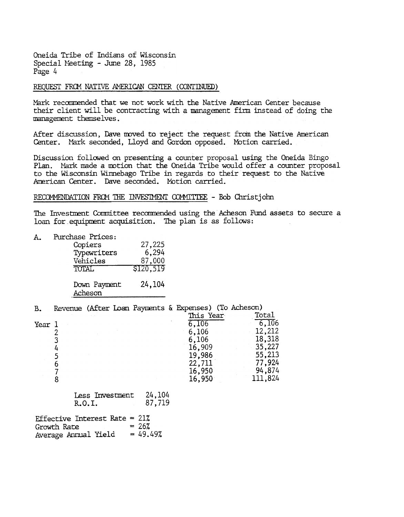Oneida Tribe of Indians of Wisconsin Special Meeting - June 28, 1985 Page 4

# REQUEST FROM NATIVE AMERICAN CENTER (CONTINUED)

Mark recommended that we not work with the Native American Center because their client will be contracting with a management firm instead of doing the management themselves.

After discussion, Dave moved to reject the request from the Native American Center. Mark seconded, Lloyd and Gordon opposed. Motion carried.

Discussion followed on presenting a counter proposal using the Oneida Bingo Plan. Mark made a motion that the Oneida Tribe would offer a counter proposal to the Wisconsin Winnebago Tribe in regards to their request to the Native American Center. Dave seconded. Motion carried.

# RECOMMENDATION FROM THE INVESTMENT COMMITTEE - Bob Christjohn

The Investment Committee recommended using the Acheson Fund assets to secure a loan for equipment acquisition. The plan is as follows:

A. Purchase Prices: Copiers 27,225 6,294 Typewriters 87,000 Vehicles \$120,519 **TOTAL** 24,104 Down Payment Acheson

| в.     |   |                 |        | Revenue (After Loan Payments & Expenses) (To Acheson) |         |
|--------|---|-----------------|--------|-------------------------------------------------------|---------|
|        |   |                 |        | This Year                                             | Total   |
| Year 1 |   |                 |        | 6,106                                                 | 6,106   |
|        |   |                 |        | 6,106                                                 | 12,212  |
|        |   |                 |        | 6,106                                                 | 18,318  |
|        | 4 |                 |        | 16,909                                                | 35,227  |
|        |   |                 |        | 19,986                                                | 55,213  |
|        | 6 |                 |        | 22,711                                                | 77,924  |
|        |   |                 |        | 16,950                                                | 94,874  |
|        |   |                 |        | 16,950                                                | 111,824 |
|        |   | Iess Investment | 24.104 |                                                       |         |

|        | Less Invesument | 44,104 |
|--------|-----------------|--------|
| R.O.I. |                 | 87,719 |

| Effective Interest Rate = $21\%$ |            |
|----------------------------------|------------|
| Growth Rate                      | $= 26%$    |
| Average Annual Yield             | $= 49.49%$ |